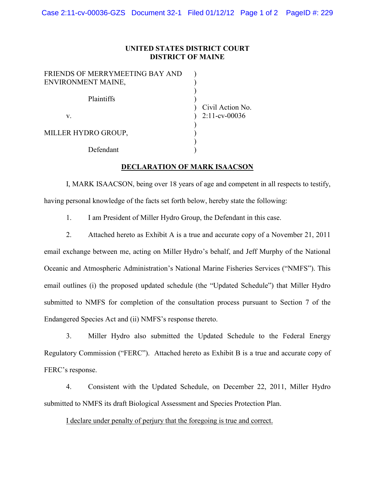## **UNITED STATES DISTRICT COURT DISTRICT OF MAINE**

| FRIENDS OF MERRYMEETING BAY AND |                  |
|---------------------------------|------------------|
| ENVIRONMENT MAINE,              |                  |
| Plaintiffs                      | Civil Action No. |
| V.                              | $2:11$ -cv-00036 |
| MILLER HYDRO GROUP,             |                  |
| Defendant                       |                  |

## **DECLARATION OF MARK ISAACSON**

I, MARK ISAACSON, being over 18 years of age and competent in all respects to testify, having personal knowledge of the facts set forth below, hereby state the following:

1. I am President of Miller Hydro Group, the Defendant in this case.

2. Attached hereto as Exhibit A is a true and accurate copy of a November 21, 2011 email exchange between me, acting on Miller Hydro's behalf, and Jeff Murphy of the National Oceanic and Atmospheric Administration's National Marine Fisheries Services ("NMFS"). This email outlines (i) the proposed updated schedule (the "Updated Schedule") that Miller Hydro submitted to NMFS for completion of the consultation process pursuant to Section 7 of the Endangered Species Act and (ii) NMFS's response thereto.

3. Miller Hydro also submitted the Updated Schedule to the Federal Energy Regulatory Commission ("FERC"). Attached hereto as Exhibit B is a true and accurate copy of FERC's response.

4. Consistent with the Updated Schedule, on December 22, 2011, Miller Hydro submitted to NMFS its draft Biological Assessment and Species Protection Plan.

I declare under penalty of perjury that the foregoing is true and correct.